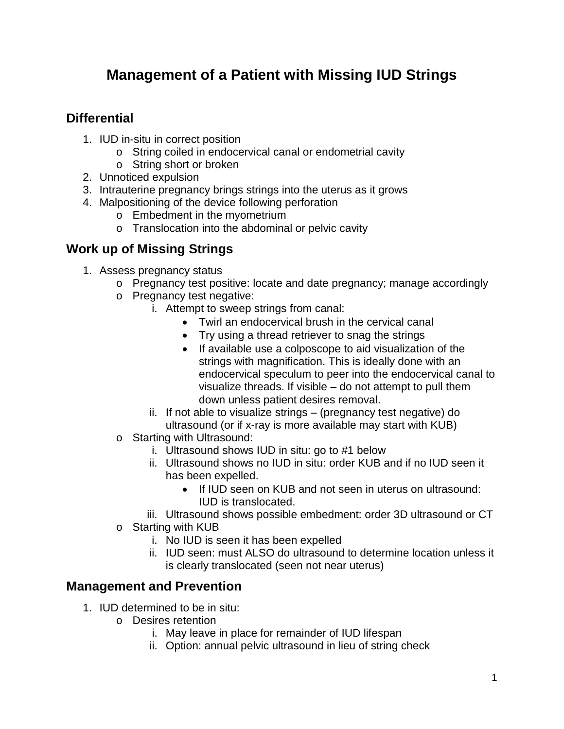## **Management of a Patient with Missing IUD Strings**

## **Differential**

- 1. IUD in-situ in correct position
	- o String coiled in endocervical canal or endometrial cavity
	- o String short or broken
- 2. Unnoticed expulsion
- 3. Intrauterine pregnancy brings strings into the uterus as it grows
- 4. Malpositioning of the device following perforation
	- o Embedment in the myometrium
	- o Translocation into the abdominal or pelvic cavity

## **Work up of Missing Strings**

- 1. Assess pregnancy status
	- o Pregnancy test positive: locate and date pregnancy; manage accordingly
	- o Pregnancy test negative:
		- i. Attempt to sweep strings from canal:
			- Twirl an endocervical brush in the cervical canal
			- Try using a thread retriever to snag the strings
			- If available use a colposcope to aid visualization of the strings with magnification. This is ideally done with an endocervical speculum to peer into the endocervical canal to visualize threads. If visible – do not attempt to pull them down unless patient desires removal.
		- ii. If not able to visualize strings (pregnancy test negative) do ultrasound (or if x-ray is more available may start with KUB)
	- o Starting with Ultrasound:
		- i. Ultrasound shows IUD in situ: go to #1 below
		- ii. Ultrasound shows no IUD in situ: order KUB and if no IUD seen it has been expelled.
			- If IUD seen on KUB and not seen in uterus on ultrasound: IUD is translocated.
		- iii. Ultrasound shows possible embedment: order 3D ultrasound or CT
	- o Starting with KUB
		- i. No IUD is seen it has been expelled
		- ii. IUD seen: must ALSO do ultrasound to determine location unless it is clearly translocated (seen not near uterus)

## **Management and Prevention**

- 1. IUD determined to be in situ:
	- o Desires retention
		- i. May leave in place for remainder of IUD lifespan
		- ii. Option: annual pelvic ultrasound in lieu of string check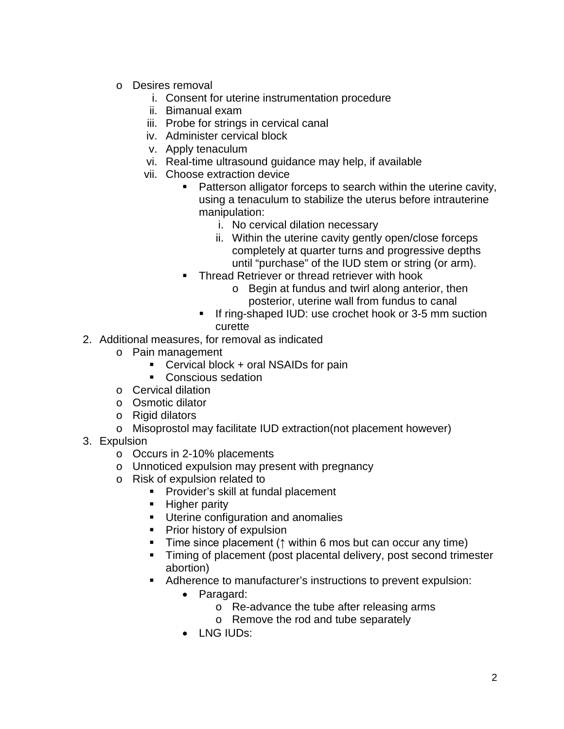- o Desires removal
	- i. Consent for uterine instrumentation procedure
	- ii. Bimanual exam
	- iii. Probe for strings in cervical canal
	- iv. Administer cervical block
	- v. Apply tenaculum
	- vi. Real-time ultrasound guidance may help, if available
	- vii. Choose extraction device
		- **Patterson alligator forceps to search within the uterine cavity,** using a tenaculum to stabilize the uterus before intrauterine manipulation:
			- i. No cervical dilation necessary
			- ii. Within the uterine cavity gently open/close forceps completely at quarter turns and progressive depths until "purchase" of the IUD stem or string (or arm).
		- **Thread Retriever or thread retriever with hook** 
			- o Begin at fundus and twirl along anterior, then posterior, uterine wall from fundus to canal
			- If ring-shaped IUD: use crochet hook or 3-5 mm suction curette
- 2. Additional measures, for removal as indicated
	- o Pain management
		- Cervical block + oral NSAIDs for pain
		- Conscious sedation
	- o Cervical dilation
	- o Osmotic dilator
	- o Rigid dilators
	- o Misoprostol may facilitate IUD extraction(not placement however)
- 3. Expulsion
	- o Occurs in 2-10% placements
	- o Unnoticed expulsion may present with pregnancy
	- o Risk of expulsion related to
		- **Provider's skill at fundal placement**
		- **Higher parity**
		- **Uterine configuration and anomalies**
		- **Prior history of expulsion**
		- Time since placement (↑ within 6 mos but can occur any time)
		- Timing of placement (post placental delivery, post second trimester abortion)
		- Adherence to manufacturer's instructions to prevent expulsion:
			- Paragard:
				- o Re-advance the tube after releasing arms
				- o Remove the rod and tube separately
			- LNG IUDs: